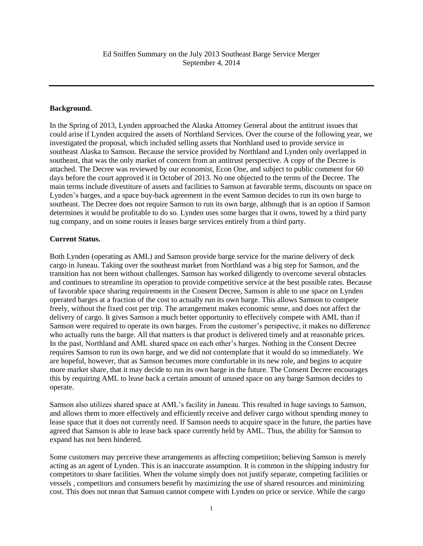## **Background.**

In the Spring of 2013, Lynden approached the Alaska Attorney General about the antitrust issues that could arise if Lynden acquired the assets of Northland Services. Over the course of the following year, we investigated the proposal, which included selling assets that Northland used to provide service in southeast Alaska to Samson. Because the service provided by Northland and Lynden only overlapped in southeast, that was the only market of concern from an antitrust perspective. A copy of the Decree is attached. The Decree was reviewed by our economist, Econ One, and subject to public comment for 60 days before the court approved it in October of 2013. No one objected to the terms of the Decree. The main terms include divestiture of assets and facilities to Samson at favorable terms, discounts on space on Lynden's barges, and a space buy-back agreement in the event Samson decides to run its own barge to southeast. The Decree does not require Samson to run its own barge, although that is an option if Samson determines it would be profitable to do so. Lynden uses some barges that it owns, towed by a third party tug company, and on some routes it leases barge services entirely from a third party.

## **Current Status.**

Both Lynden (operating as AML) and Samson provide barge service for the marine delivery of deck cargo in Juneau. Taking over the southeast market from Northland was a big step for Samson, and the transition has not been without challenges. Samson has worked diligently to overcome several obstacles and continues to streamline its operation to provide competitive service at the best possible rates. Because of favorable space sharing requirements in the Consent Decree, Samson is able to use space on Lynden operated barges at a fraction of the cost to actually run its own barge. This allows Samson to compete freely, without the fixed cost per trip. The arrangement makes economic sense, and does not affect the delivery of cargo. It gives Samson a much better opportunity to effectively compete with AML than if Samson were required to operate its own barges. From the customer's perspective, it makes no difference who actually runs the barge. All that matters is that product is delivered timely and at reasonable prices. In the past, Northland and AML shared space on each other's barges. Nothing in the Consent Decree requires Samson to run its own barge, and we did not contemplate that it would do so immediately. We are hopeful, however, that as Samson becomes more comfortable in its new role, and begins to acquire more market share, that it may decide to run its own barge in the future. The Consent Decree encourages this by requiring AML to lease back a certain amount of unused space on any barge Samson decides to operate.

Samson also utilizes shared space at AML's facility in Juneau. This resulted in huge savings to Samson, and allows them to more effectively and efficiently receive and deliver cargo without spending money to lease space that it does not currently need. If Samson needs to acquire space in the future, the parties have agreed that Samson is able to lease back space currently held by AML. Thus, the ability for Samson to expand has not been hindered.

Some customers may perceive these arrangements as affecting competition; believing Samson is merely acting as an agent of Lynden. This is an inaccurate assumption. It is common in the shipping industry for competitors to share facilities. When the volume simply does not justify separate, competing facilities or vessels , competitors and consumers benefit by maximizing the use of shared resources and minimizing cost. This does not mean that Samson cannot compete with Lynden on price or service. While the cargo